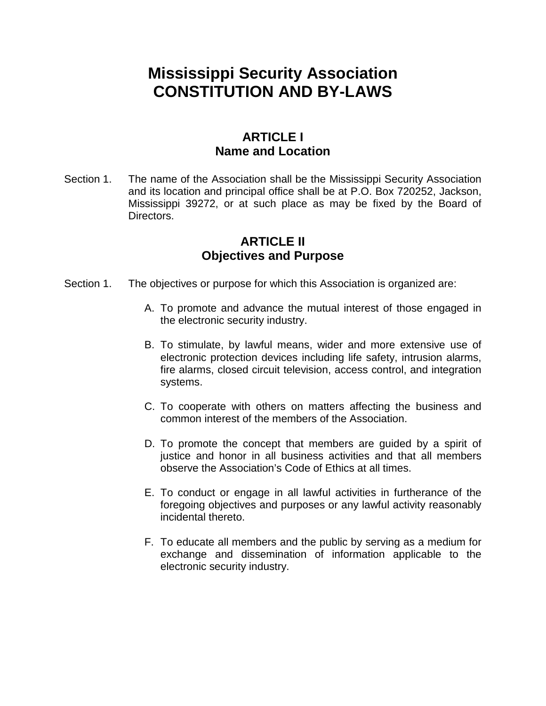# **Mississippi Security Association CONSTITUTION AND BY-LAWS**

# **ARTICLE I Name and Location**

Section 1. The name of the Association shall be the Mississippi Security Association and its location and principal office shall be at P.O. Box 720252, Jackson, Mississippi 39272, or at such place as may be fixed by the Board of Directors.

## **ARTICLE II Objectives and Purpose**

- Section 1. The objectives or purpose for which this Association is organized are:
	- A. To promote and advance the mutual interest of those engaged in the electronic security industry.
	- B. To stimulate, by lawful means, wider and more extensive use of electronic protection devices including life safety, intrusion alarms, fire alarms, closed circuit television, access control, and integration systems.
	- C. To cooperate with others on matters affecting the business and common interest of the members of the Association.
	- D. To promote the concept that members are guided by a spirit of justice and honor in all business activities and that all members observe the Association's Code of Ethics at all times.
	- E. To conduct or engage in all lawful activities in furtherance of the foregoing objectives and purposes or any lawful activity reasonably incidental thereto.
	- F. To educate all members and the public by serving as a medium for exchange and dissemination of information applicable to the electronic security industry.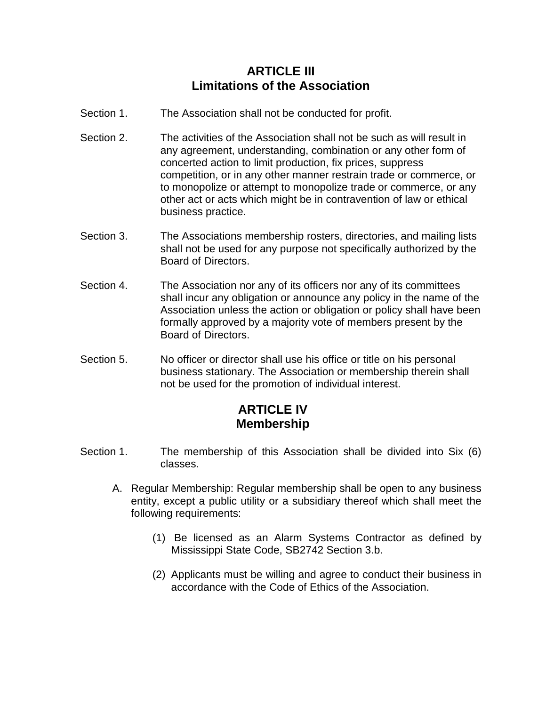# **ARTICI F III Limitations of the Association**

- Section 1. The Association shall not be conducted for profit.
- Section 2. The activities of the Association shall not be such as will result in any agreement, understanding, combination or any other form of concerted action to limit production, fix prices, suppress competition, or in any other manner restrain trade or commerce, or to monopolize or attempt to monopolize trade or commerce, or any other act or acts which might be in contravention of law or ethical business practice.
- Section 3. The Associations membership rosters, directories, and mailing lists shall not be used for any purpose not specifically authorized by the Board of Directors.
- Section 4. The Association nor any of its officers nor any of its committees shall incur any obligation or announce any policy in the name of the Association unless the action or obligation or policy shall have been formally approved by a majority vote of members present by the Board of Directors.
- Section 5. No officer or director shall use his office or title on his personal business stationary. The Association or membership therein shall not be used for the promotion of individual interest.

# **ARTICLE IV Membership**

- Section 1. The membership of this Association shall be divided into Six (6) classes.
	- A. Regular Membership: Regular membership shall be open to any business entity, except a public utility or a subsidiary thereof which shall meet the following requirements:
		- (1) Be licensed as an Alarm Systems Contractor as defined by Mississippi State Code, SB2742 Section 3.b.
		- (2) Applicants must be willing and agree to conduct their business in accordance with the Code of Ethics of the Association.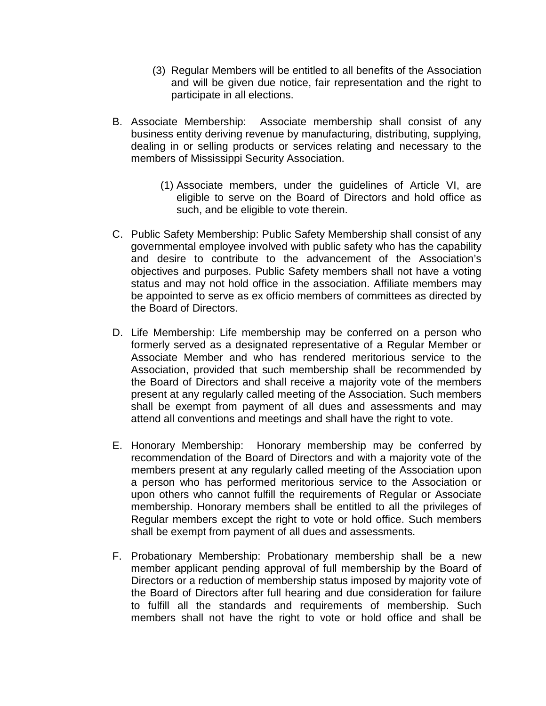- (3) Regular Members will be entitled to all benefits of the Association and will be given due notice, fair representation and the right to participate in all elections.
- B. Associate Membership: Associate membership shall consist of any business entity deriving revenue by manufacturing, distributing, supplying, dealing in or selling products or services relating and necessary to the members of Mississippi Security Association.
	- (1) Associate members, under the guidelines of Article VI, are eligible to serve on the Board of Directors and hold office as such, and be eligible to vote therein.
- C. Public Safety Membership: Public Safety Membership shall consist of any governmental employee involved with public safety who has the capability and desire to contribute to the advancement of the Association's objectives and purposes. Public Safety members shall not have a voting status and may not hold office in the association. Affiliate members may be appointed to serve as ex officio members of committees as directed by the Board of Directors.
- D. Life Membership: Life membership may be conferred on a person who formerly served as a designated representative of a Regular Member or Associate Member and who has rendered meritorious service to the Association, provided that such membership shall be recommended by the Board of Directors and shall receive a majority vote of the members present at any regularly called meeting of the Association. Such members shall be exempt from payment of all dues and assessments and may attend all conventions and meetings and shall have the right to vote.
- E. Honorary Membership: Honorary membership may be conferred by recommendation of the Board of Directors and with a majority vote of the members present at any regularly called meeting of the Association upon a person who has performed meritorious service to the Association or upon others who cannot fulfill the requirements of Regular or Associate membership. Honorary members shall be entitled to all the privileges of Regular members except the right to vote or hold office. Such members shall be exempt from payment of all dues and assessments.
- F. Probationary Membership: Probationary membership shall be a new member applicant pending approval of full membership by the Board of Directors or a reduction of membership status imposed by majority vote of the Board of Directors after full hearing and due consideration for failure to fulfill all the standards and requirements of membership. Such members shall not have the right to vote or hold office and shall be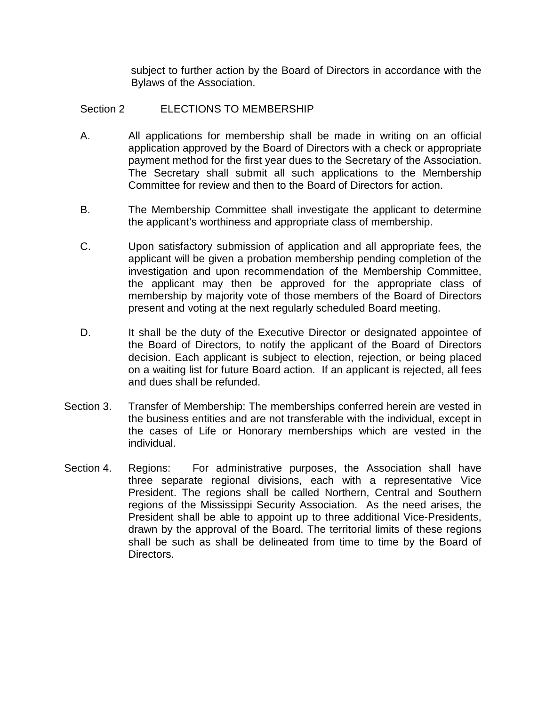subject to further action by the Board of Directors in accordance with the Bylaws of the Association.

#### Section 2 ELECTIONS TO MEMBERSHIP

- A. All applications for membership shall be made in writing on an official application approved by the Board of Directors with a check or appropriate payment method for the first year dues to the Secretary of the Association. The Secretary shall submit all such applications to the Membership Committee for review and then to the Board of Directors for action.
- B. The Membership Committee shall investigate the applicant to determine the applicant's worthiness and appropriate class of membership.
- C. Upon satisfactory submission of application and all appropriate fees, the applicant will be given a probation membership pending completion of the investigation and upon recommendation of the Membership Committee, the applicant may then be approved for the appropriate class of membership by majority vote of those members of the Board of Directors present and voting at the next regularly scheduled Board meeting.
- D. It shall be the duty of the Executive Director or designated appointee of the Board of Directors, to notify the applicant of the Board of Directors decision. Each applicant is subject to election, rejection, or being placed on a waiting list for future Board action. If an applicant is rejected, all fees and dues shall be refunded.
- Section 3. Transfer of Membership: The memberships conferred herein are vested in the business entities and are not transferable with the individual, except in the cases of Life or Honorary memberships which are vested in the individual.
- Section 4. Regions: For administrative purposes, the Association shall have three separate regional divisions, each with a representative Vice President. The regions shall be called Northern, Central and Southern regions of the Mississippi Security Association. As the need arises, the President shall be able to appoint up to three additional Vice-Presidents, drawn by the approval of the Board. The territorial limits of these regions shall be such as shall be delineated from time to time by the Board of Directors.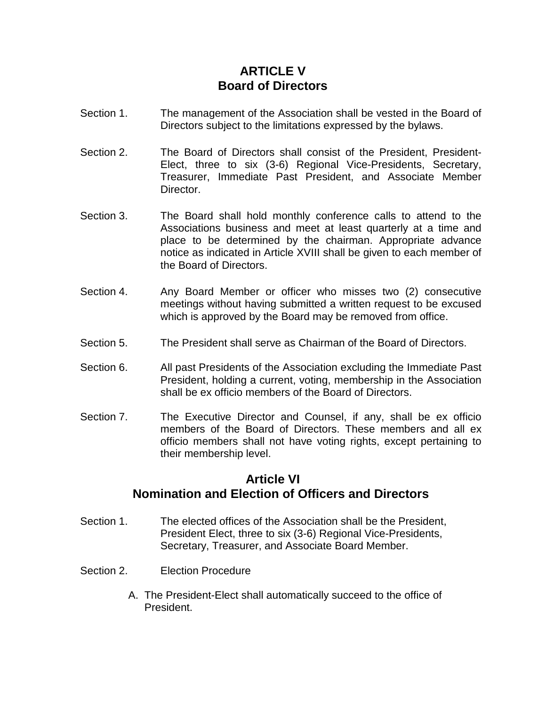# **ARTICLE V Board of Directors**

- Section 1. The management of the Association shall be vested in the Board of Directors subject to the limitations expressed by the bylaws.
- Section 2. The Board of Directors shall consist of the President, President-Elect, three to six (3-6) Regional Vice-Presidents, Secretary, Treasurer, Immediate Past President, and Associate Member Director.
- Section 3. The Board shall hold monthly conference calls to attend to the Associations business and meet at least quarterly at a time and place to be determined by the chairman. Appropriate advance notice as indicated in Article XVIII shall be given to each member of the Board of Directors.
- Section 4. Any Board Member or officer who misses two (2) consecutive meetings without having submitted a written request to be excused which is approved by the Board may be removed from office.
- Section 5. The President shall serve as Chairman of the Board of Directors.
- Section 6. All past Presidents of the Association excluding the Immediate Past President, holding a current, voting, membership in the Association shall be ex officio members of the Board of Directors.
- Section 7. The Executive Director and Counsel, if any, shall be ex officio members of the Board of Directors. These members and all ex officio members shall not have voting rights, except pertaining to their membership level.

#### **Article VI Nomination and Election of Officers and Directors**

- Section 1. The elected offices of the Association shall be the President, President Elect, three to six (3-6) Regional Vice-Presidents, Secretary, Treasurer, and Associate Board Member.
- Section 2. Election Procedure
	- A. The President-Elect shall automatically succeed to the office of President.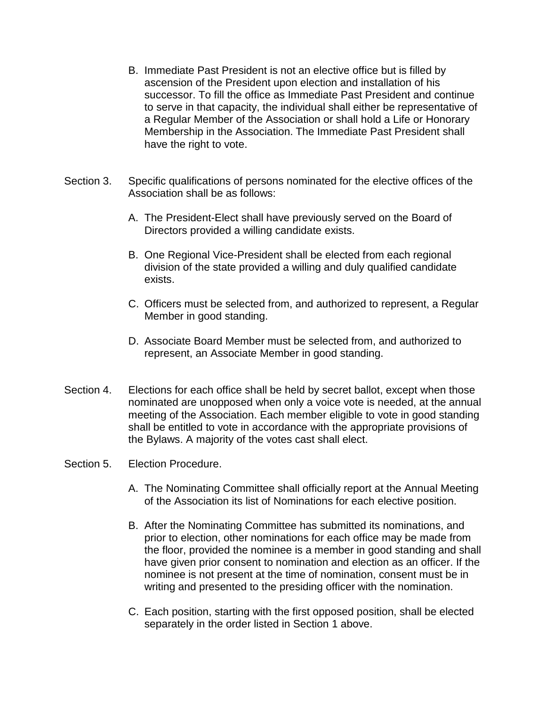- B. Immediate Past President is not an elective office but is filled by ascension of the President upon election and installation of his successor. To fill the office as Immediate Past President and continue to serve in that capacity, the individual shall either be representative of a Regular Member of the Association or shall hold a Life or Honorary Membership in the Association. The Immediate Past President shall have the right to vote.
- Section 3. Specific qualifications of persons nominated for the elective offices of the Association shall be as follows:
	- A. The President-Elect shall have previously served on the Board of Directors provided a willing candidate exists.
	- B. One Regional Vice-President shall be elected from each regional division of the state provided a willing and duly qualified candidate exists.
	- C. Officers must be selected from, and authorized to represent, a Regular Member in good standing.
	- D. Associate Board Member must be selected from, and authorized to represent, an Associate Member in good standing.
- Section 4. Elections for each office shall be held by secret ballot, except when those nominated are unopposed when only a voice vote is needed, at the annual meeting of the Association. Each member eligible to vote in good standing shall be entitled to vote in accordance with the appropriate provisions of the Bylaws. A majority of the votes cast shall elect.

#### Section 5. Election Procedure.

- A. The Nominating Committee shall officially report at the Annual Meeting of the Association its list of Nominations for each elective position.
- B. After the Nominating Committee has submitted its nominations, and prior to election, other nominations for each office may be made from the floor, provided the nominee is a member in good standing and shall have given prior consent to nomination and election as an officer. If the nominee is not present at the time of nomination, consent must be in writing and presented to the presiding officer with the nomination.
- C. Each position, starting with the first opposed position, shall be elected separately in the order listed in Section 1 above.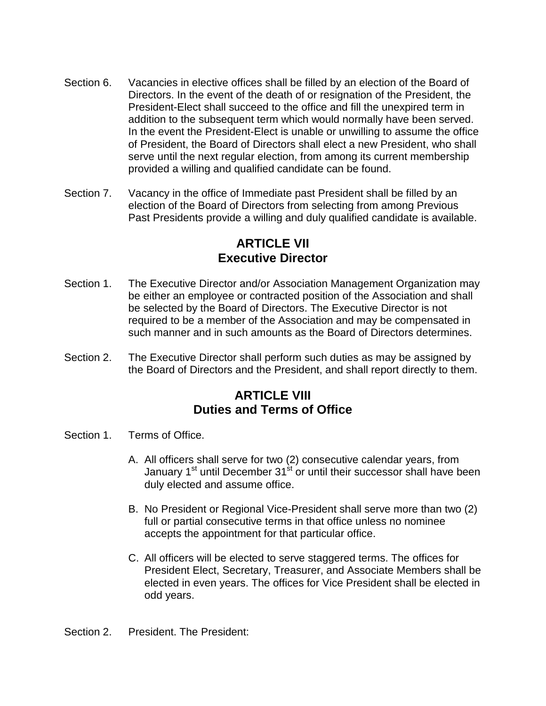- Section 6. Vacancies in elective offices shall be filled by an election of the Board of Directors. In the event of the death of or resignation of the President, the President-Elect shall succeed to the office and fill the unexpired term in addition to the subsequent term which would normally have been served. In the event the President-Elect is unable or unwilling to assume the office of President, the Board of Directors shall elect a new President, who shall serve until the next regular election, from among its current membership provided a willing and qualified candidate can be found.
- Section 7. Vacancy in the office of Immediate past President shall be filled by an election of the Board of Directors from selecting from among Previous Past Presidents provide a willing and duly qualified candidate is available.

#### **ARTICLE VII Executive Director**

- Section 1. The Executive Director and/or Association Management Organization may be either an employee or contracted position of the Association and shall be selected by the Board of Directors. The Executive Director is not required to be a member of the Association and may be compensated in such manner and in such amounts as the Board of Directors determines.
- Section 2. The Executive Director shall perform such duties as may be assigned by the Board of Directors and the President, and shall report directly to them.

#### **ARTICLE VIII Duties and Terms of Office**

- Section 1. Terms of Office.
	- A. All officers shall serve for two (2) consecutive calendar years, from January 1<sup>st</sup> until December 31<sup>st</sup> or until their successor shall have been duly elected and assume office.
	- B. No President or Regional Vice-President shall serve more than two (2) full or partial consecutive terms in that office unless no nominee accepts the appointment for that particular office.
	- C. All officers will be elected to serve staggered terms. The offices for President Elect, Secretary, Treasurer, and Associate Members shall be elected in even years. The offices for Vice President shall be elected in odd years.

Section 2. President. The President: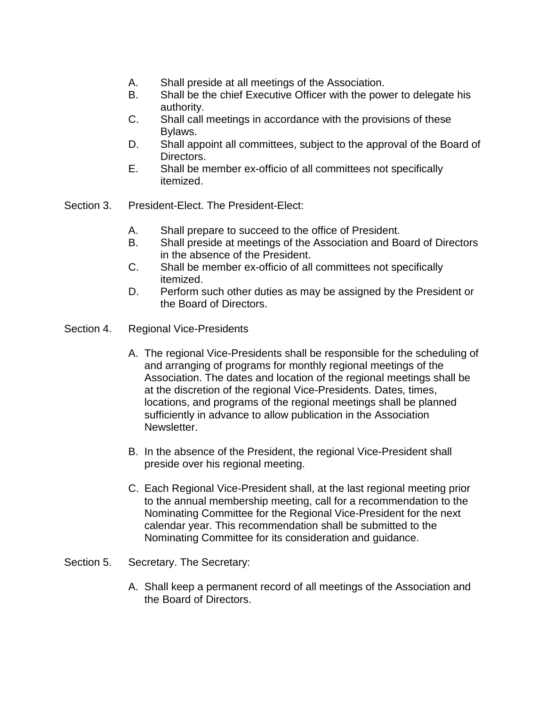- A. Shall preside at all meetings of the Association.
- B. Shall be the chief Executive Officer with the power to delegate his authority.
- C. Shall call meetings in accordance with the provisions of these Bylaws.
- D. Shall appoint all committees, subject to the approval of the Board of Directors.
- E. Shall be member ex-officio of all committees not specifically itemized.
- Section 3. President-Elect. The President-Elect:
	- A. Shall prepare to succeed to the office of President.
	- B. Shall preside at meetings of the Association and Board of Directors in the absence of the President.
	- C. Shall be member ex-officio of all committees not specifically itemized.
	- D. Perform such other duties as may be assigned by the President or the Board of Directors.
- Section 4. Regional Vice-Presidents
	- A. The regional Vice-Presidents shall be responsible for the scheduling of and arranging of programs for monthly regional meetings of the Association. The dates and location of the regional meetings shall be at the discretion of the regional Vice-Presidents. Dates, times, locations, and programs of the regional meetings shall be planned sufficiently in advance to allow publication in the Association Newsletter.
	- B. In the absence of the President, the regional Vice-President shall preside over his regional meeting.
	- C. Each Regional Vice-President shall, at the last regional meeting prior to the annual membership meeting, call for a recommendation to the Nominating Committee for the Regional Vice-President for the next calendar year. This recommendation shall be submitted to the Nominating Committee for its consideration and guidance.
- Section 5. Secretary. The Secretary:
	- A. Shall keep a permanent record of all meetings of the Association and the Board of Directors.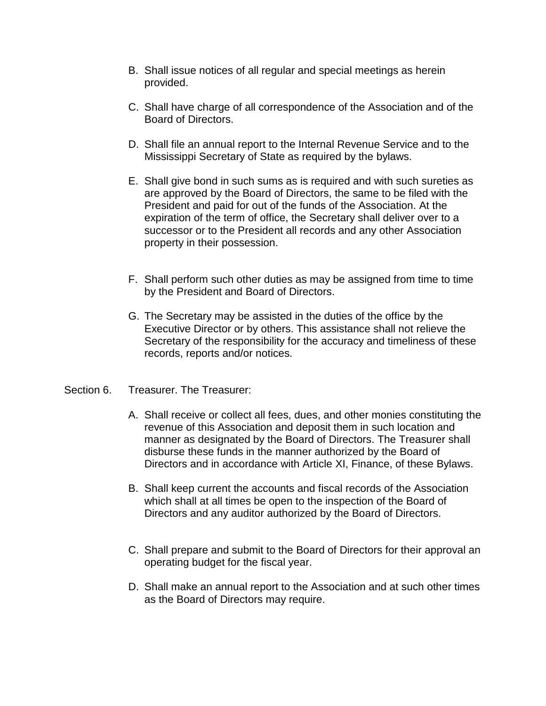- B. Shall issue notices of all regular and special meetings as herein provided.
- C. Shall have charge of all correspondence of the Association and of the Board of Directors.
- D. Shall file an annual report to the Internal Revenue Service and to the Mississippi Secretary of State as required by the bylaws.
- E. Shall give bond in such sums as is required and with such sureties as are approved by the Board of Directors, the same to be filed with the President and paid for out of the funds of the Association. At the expiration of the term of office, the Secretary shall deliver over to a successor or to the President all records and any other Association property in their possession.
- F. Shall perform such other duties as may be assigned from time to time by the President and Board of Directors.
- G. The Secretary may be assisted in the duties of the office by the Executive Director or by others. This assistance shall not relieve the Secretary of the responsibility for the accuracy and timeliness of these records, reports and/or notices.
- Section 6. Treasurer. The Treasurer:
	- A. Shall receive or collect all fees, dues, and other monies constituting the revenue of this Association and deposit them in such location and manner as designated by the Board of Directors. The Treasurer shall disburse these funds in the manner authorized by the Board of Directors and in accordance with Article XI, Finance, of these Bylaws.
	- B. Shall keep current the accounts and fiscal records of the Association which shall at all times be open to the inspection of the Board of Directors and any auditor authorized by the Board of Directors.
	- C. Shall prepare and submit to the Board of Directors for their approval an operating budget for the fiscal year.
	- D. Shall make an annual report to the Association and at such other times as the Board of Directors may require.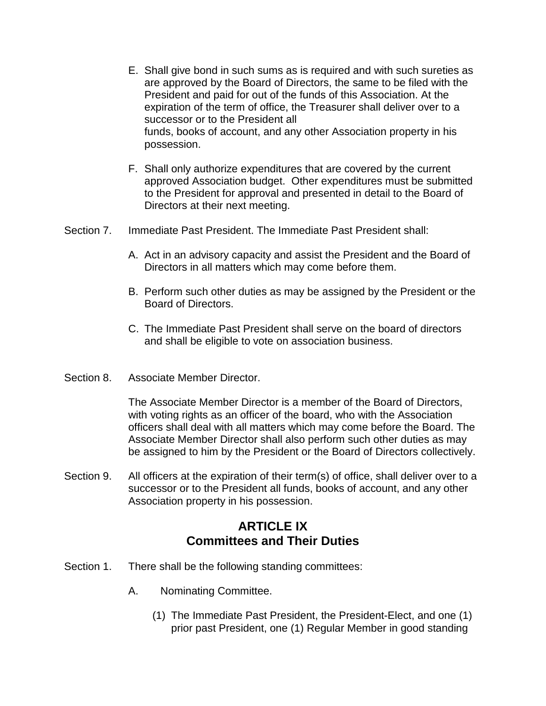- E. Shall give bond in such sums as is required and with such sureties as are approved by the Board of Directors, the same to be filed with the President and paid for out of the funds of this Association. At the expiration of the term of office, the Treasurer shall deliver over to a successor or to the President all funds, books of account, and any other Association property in his possession.
- F. Shall only authorize expenditures that are covered by the current approved Association budget. Other expenditures must be submitted to the President for approval and presented in detail to the Board of Directors at their next meeting.
- Section 7. Immediate Past President. The Immediate Past President shall:
	- A. Act in an advisory capacity and assist the President and the Board of Directors in all matters which may come before them.
	- B. Perform such other duties as may be assigned by the President or the Board of Directors.
	- C. The Immediate Past President shall serve on the board of directors and shall be eligible to vote on association business.
- Section 8. Associate Member Director.

The Associate Member Director is a member of the Board of Directors, with voting rights as an officer of the board, who with the Association officers shall deal with all matters which may come before the Board. The Associate Member Director shall also perform such other duties as may be assigned to him by the President or the Board of Directors collectively.

Section 9. All officers at the expiration of their term(s) of office, shall deliver over to a successor or to the President all funds, books of account, and any other Association property in his possession.

# **ARTICLE IX Committees and Their Duties**

- Section 1. There shall be the following standing committees:
	- A. Nominating Committee.
		- (1) The Immediate Past President, the President-Elect, and one (1) prior past President, one (1) Regular Member in good standing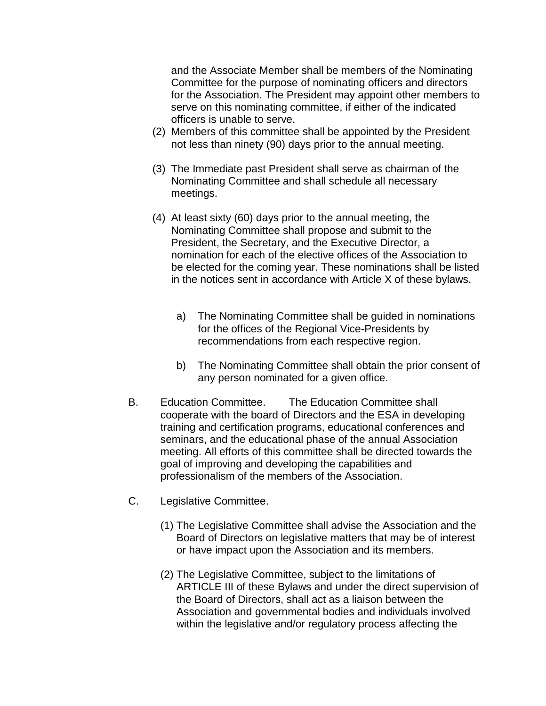and the Associate Member shall be members of the Nominating Committee for the purpose of nominating officers and directors for the Association. The President may appoint other members to serve on this nominating committee, if either of the indicated officers is unable to serve.

- (2) Members of this committee shall be appointed by the President not less than ninety (90) days prior to the annual meeting.
- (3) The Immediate past President shall serve as chairman of the Nominating Committee and shall schedule all necessary meetings.
- (4) At least sixty (60) days prior to the annual meeting, the Nominating Committee shall propose and submit to the President, the Secretary, and the Executive Director, a nomination for each of the elective offices of the Association to be elected for the coming year. These nominations shall be listed in the notices sent in accordance with Article X of these bylaws.
	- a) The Nominating Committee shall be guided in nominations for the offices of the Regional Vice-Presidents by recommendations from each respective region.
	- b) The Nominating Committee shall obtain the prior consent of any person nominated for a given office.
- B. Education Committee. The Education Committee shall cooperate with the board of Directors and the ESA in developing training and certification programs, educational conferences and seminars, and the educational phase of the annual Association meeting. All efforts of this committee shall be directed towards the goal of improving and developing the capabilities and professionalism of the members of the Association.
- C. Legislative Committee.
	- (1) The Legislative Committee shall advise the Association and the Board of Directors on legislative matters that may be of interest or have impact upon the Association and its members.
	- (2) The Legislative Committee, subject to the limitations of ARTICLE III of these Bylaws and under the direct supervision of the Board of Directors, shall act as a liaison between the Association and governmental bodies and individuals involved within the legislative and/or regulatory process affecting the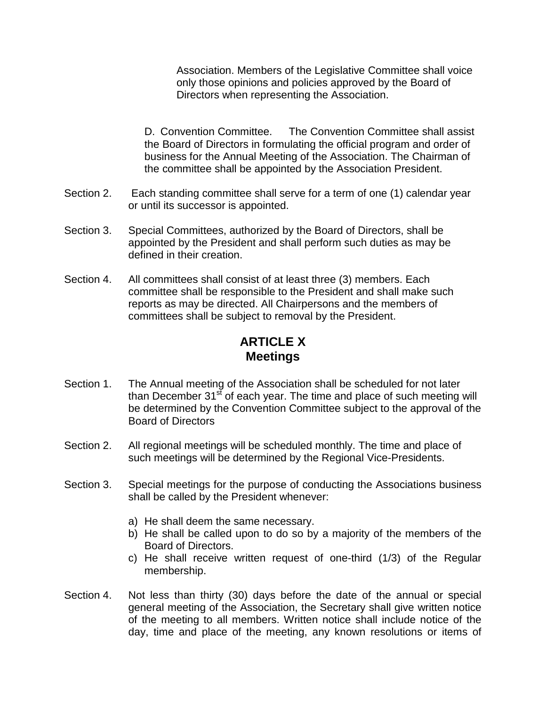Association. Members of the Legislative Committee shall voice only those opinions and policies approved by the Board of Directors when representing the Association.

D. Convention Committee. The Convention Committee shall assist the Board of Directors in formulating the official program and order of business for the Annual Meeting of the Association. The Chairman of the committee shall be appointed by the Association President.

- Section 2. Each standing committee shall serve for a term of one (1) calendar year or until its successor is appointed.
- Section 3. Special Committees, authorized by the Board of Directors, shall be appointed by the President and shall perform such duties as may be defined in their creation.
- Section 4. All committees shall consist of at least three (3) members. Each committee shall be responsible to the President and shall make such reports as may be directed. All Chairpersons and the members of committees shall be subject to removal by the President.

# **ARTICLE X Meetings**

- Section 1. The Annual meeting of the Association shall be scheduled for not later than December  $31<sup>st</sup>$  of each year. The time and place of such meeting will be determined by the Convention Committee subject to the approval of the Board of Directors
- Section 2. All regional meetings will be scheduled monthly. The time and place of such meetings will be determined by the Regional Vice-Presidents.
- Section 3. Special meetings for the purpose of conducting the Associations business shall be called by the President whenever:
	- a) He shall deem the same necessary.
	- b) He shall be called upon to do so by a majority of the members of the Board of Directors.
	- c) He shall receive written request of one-third (1/3) of the Regular membership.
- Section 4. Not less than thirty (30) days before the date of the annual or special general meeting of the Association, the Secretary shall give written notice of the meeting to all members. Written notice shall include notice of the day, time and place of the meeting, any known resolutions or items of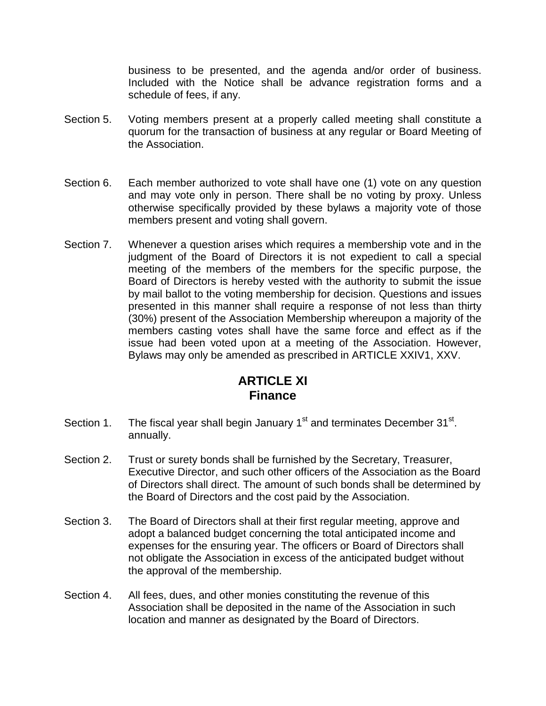business to be presented, and the agenda and/or order of business. Included with the Notice shall be advance registration forms and a schedule of fees, if any.

- Section 5. Voting members present at a properly called meeting shall constitute a quorum for the transaction of business at any regular or Board Meeting of the Association.
- Section 6. Each member authorized to vote shall have one (1) vote on any question and may vote only in person. There shall be no voting by proxy. Unless otherwise specifically provided by these bylaws a majority vote of those members present and voting shall govern.
- Section 7. Whenever a question arises which requires a membership vote and in the judgment of the Board of Directors it is not expedient to call a special meeting of the members of the members for the specific purpose, the Board of Directors is hereby vested with the authority to submit the issue by mail ballot to the voting membership for decision. Questions and issues presented in this manner shall require a response of not less than thirty (30%) present of the Association Membership whereupon a majority of the members casting votes shall have the same force and effect as if the issue had been voted upon at a meeting of the Association. However, Bylaws may only be amended as prescribed in ARTICLE XXIV1, XXV.

# **ARTICLE XI Finance**

- Section 1. The fiscal year shall begin January  $1<sup>st</sup>$  and terminates December  $31<sup>st</sup>$ . annually.
- Section 2. Trust or surety bonds shall be furnished by the Secretary, Treasurer, Executive Director, and such other officers of the Association as the Board of Directors shall direct. The amount of such bonds shall be determined by the Board of Directors and the cost paid by the Association.
- Section 3. The Board of Directors shall at their first regular meeting, approve and adopt a balanced budget concerning the total anticipated income and expenses for the ensuring year. The officers or Board of Directors shall not obligate the Association in excess of the anticipated budget without the approval of the membership.
- Section 4. All fees, dues, and other monies constituting the revenue of this Association shall be deposited in the name of the Association in such location and manner as designated by the Board of Directors.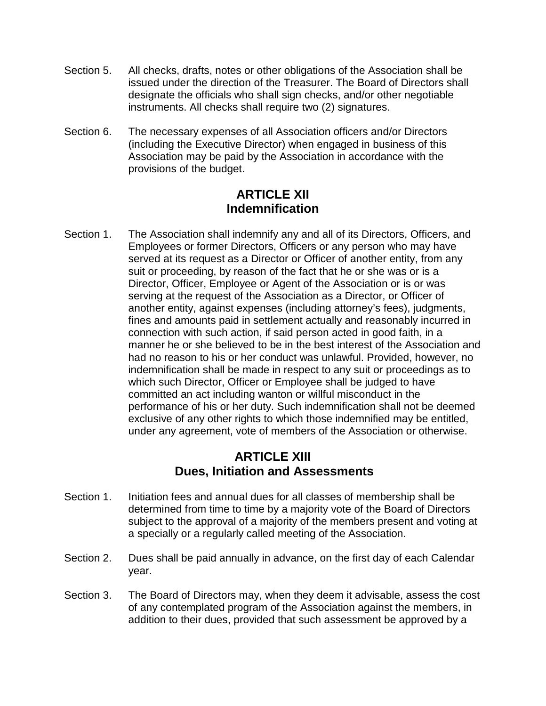- Section 5. All checks, drafts, notes or other obligations of the Association shall be issued under the direction of the Treasurer. The Board of Directors shall designate the officials who shall sign checks, and/or other negotiable instruments. All checks shall require two (2) signatures.
- Section 6. The necessary expenses of all Association officers and/or Directors (including the Executive Director) when engaged in business of this Association may be paid by the Association in accordance with the provisions of the budget.

## **ARTICLE XII Indemnification**

Section 1. The Association shall indemnify any and all of its Directors, Officers, and Employees or former Directors, Officers or any person who may have served at its request as a Director or Officer of another entity, from any suit or proceeding, by reason of the fact that he or she was or is a Director, Officer, Employee or Agent of the Association or is or was serving at the request of the Association as a Director, or Officer of another entity, against expenses (including attorney's fees), judgments, fines and amounts paid in settlement actually and reasonably incurred in connection with such action, if said person acted in good faith, in a manner he or she believed to be in the best interest of the Association and had no reason to his or her conduct was unlawful. Provided, however, no indemnification shall be made in respect to any suit or proceedings as to which such Director, Officer or Employee shall be judged to have committed an act including wanton or willful misconduct in the performance of his or her duty. Such indemnification shall not be deemed exclusive of any other rights to which those indemnified may be entitled, under any agreement, vote of members of the Association or otherwise.

#### **ARTICLE XIII Dues, Initiation and Assessments**

- Section 1. Initiation fees and annual dues for all classes of membership shall be determined from time to time by a majority vote of the Board of Directors subject to the approval of a majority of the members present and voting at a specially or a regularly called meeting of the Association.
- Section 2. Dues shall be paid annually in advance, on the first day of each Calendar year.
- Section 3. The Board of Directors may, when they deem it advisable, assess the cost of any contemplated program of the Association against the members, in addition to their dues, provided that such assessment be approved by a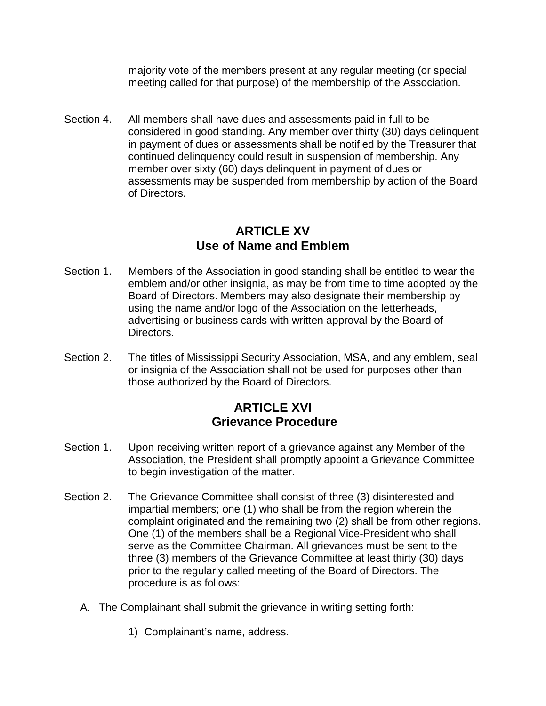majority vote of the members present at any regular meeting (or special meeting called for that purpose) of the membership of the Association.

Section 4. All members shall have dues and assessments paid in full to be considered in good standing. Any member over thirty (30) days delinquent in payment of dues or assessments shall be notified by the Treasurer that continued delinquency could result in suspension of membership. Any member over sixty (60) days delinquent in payment of dues or assessments may be suspended from membership by action of the Board of Directors.

# **ARTICLE XV Use of Name and Emblem**

- Section 1. Members of the Association in good standing shall be entitled to wear the emblem and/or other insignia, as may be from time to time adopted by the Board of Directors. Members may also designate their membership by using the name and/or logo of the Association on the letterheads, advertising or business cards with written approval by the Board of Directors.
- Section 2. The titles of Mississippi Security Association, MSA, and any emblem, seal or insignia of the Association shall not be used for purposes other than those authorized by the Board of Directors.

# **ARTICLE XVI Grievance Procedure**

- Section 1. Upon receiving written report of a grievance against any Member of the Association, the President shall promptly appoint a Grievance Committee to begin investigation of the matter.
- Section 2. The Grievance Committee shall consist of three (3) disinterested and impartial members; one (1) who shall be from the region wherein the complaint originated and the remaining two (2) shall be from other regions. One (1) of the members shall be a Regional Vice-President who shall serve as the Committee Chairman. All grievances must be sent to the three (3) members of the Grievance Committee at least thirty (30) days prior to the regularly called meeting of the Board of Directors. The procedure is as follows:
	- A. The Complainant shall submit the grievance in writing setting forth:
		- 1) Complainant's name, address.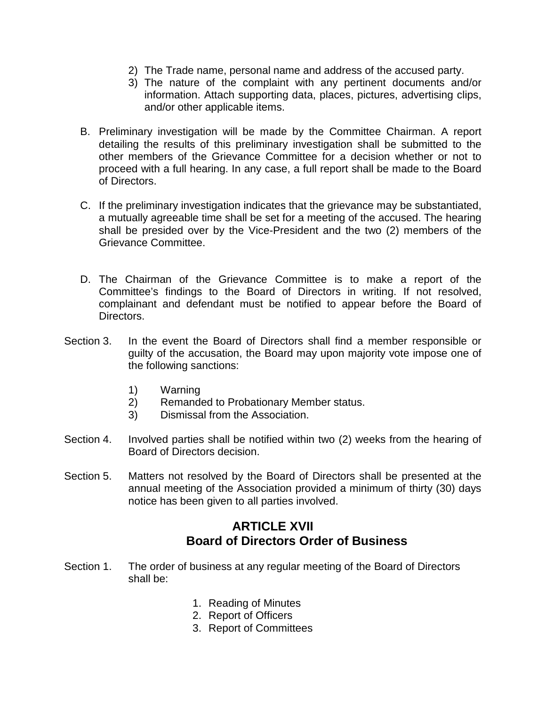- 2) The Trade name, personal name and address of the accused party.
- 3) The nature of the complaint with any pertinent documents and/or information. Attach supporting data, places, pictures, advertising clips, and/or other applicable items.
- B. Preliminary investigation will be made by the Committee Chairman. A report detailing the results of this preliminary investigation shall be submitted to the other members of the Grievance Committee for a decision whether or not to proceed with a full hearing. In any case, a full report shall be made to the Board of Directors.
- C. If the preliminary investigation indicates that the grievance may be substantiated, a mutually agreeable time shall be set for a meeting of the accused. The hearing shall be presided over by the Vice-President and the two (2) members of the Grievance Committee.
- D. The Chairman of the Grievance Committee is to make a report of the Committee's findings to the Board of Directors in writing. If not resolved, complainant and defendant must be notified to appear before the Board of Directors.
- Section 3. In the event the Board of Directors shall find a member responsible or guilty of the accusation, the Board may upon majority vote impose one of the following sanctions:
	- 1) Warning
	- 2) Remanded to Probationary Member status.
	- 3) Dismissal from the Association.
- Section 4. Involved parties shall be notified within two (2) weeks from the hearing of Board of Directors decision.
- Section 5. Matters not resolved by the Board of Directors shall be presented at the annual meeting of the Association provided a minimum of thirty (30) days notice has been given to all parties involved.

# **ARTICLE XVII Board of Directors Order of Business**

- Section 1. The order of business at any regular meeting of the Board of Directors shall be:
	- 1. Reading of Minutes
	- 2. Report of Officers
	- 3. Report of Committees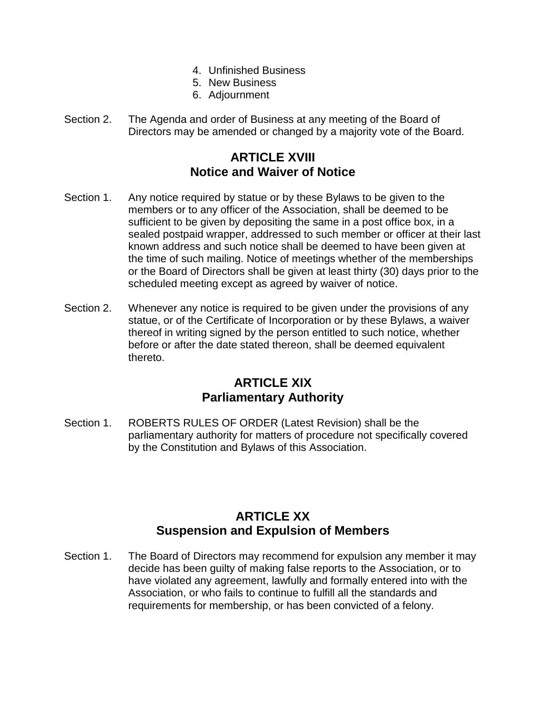- 4. Unfinished Business
- 5. New Business
- 6. Adjournment
- Section 2. The Agenda and order of Business at any meeting of the Board of Directors may be amended or changed by a majority vote of the Board.

# **ARTICLE XVIII Notice and Waiver of Notice**

- Section 1. Any notice required by statue or by these Bylaws to be given to the members or to any officer of the Association, shall be deemed to be sufficient to be given by depositing the same in a post office box, in a sealed postpaid wrapper, addressed to such member or officer at their last known address and such notice shall be deemed to have been given at the time of such mailing. Notice of meetings whether of the memberships or the Board of Directors shall be given at least thirty (30) days prior to the scheduled meeting except as agreed by waiver of notice.
- Section 2. Whenever any notice is required to be given under the provisions of any statue, or of the Certificate of Incorporation or by these Bylaws, a waiver thereof in writing signed by the person entitled to such notice, whether before or after the date stated thereon, shall be deemed equivalent thereto.

#### **ARTICLE XIX Parliamentary Authority**

Section 1. ROBERTS RULES OF ORDER (Latest Revision) shall be the parliamentary authority for matters of procedure not specifically covered by the Constitution and Bylaws of this Association.

# **ARTICLE XX Suspension and Expulsion of Members**

Section 1. The Board of Directors may recommend for expulsion any member it may decide has been guilty of making false reports to the Association, or to have violated any agreement, lawfully and formally entered into with the Association, or who fails to continue to fulfill all the standards and requirements for membership, or has been convicted of a felony.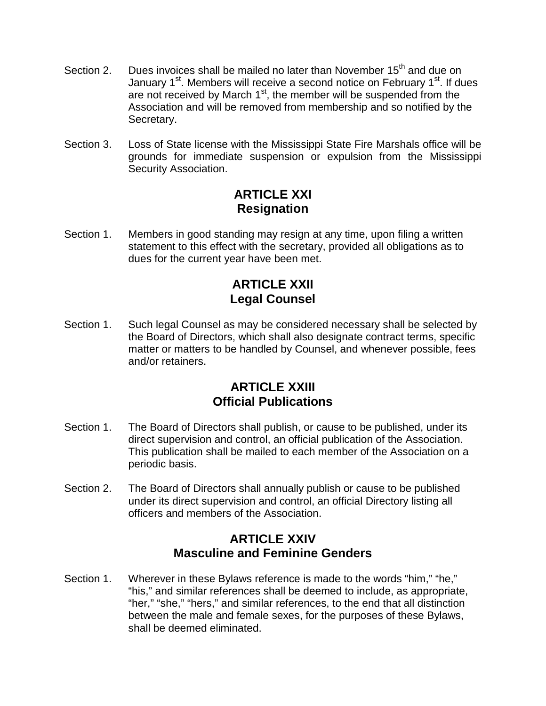- Section 2. Dues invoices shall be mailed no later than November 15<sup>th</sup> and due on January 1<sup>st</sup>. Members will receive a second notice on February 1<sup>st</sup>. If dues are not received by March  $1<sup>st</sup>$ , the member will be suspended from the Association and will be removed from membership and so notified by the Secretary.
- Section 3. Loss of State license with the Mississippi State Fire Marshals office will be grounds for immediate suspension or expulsion from the Mississippi Security Association.

# **ARTICLE XXI Resignation**

Section 1. Members in good standing may resign at any time, upon filing a written statement to this effect with the secretary, provided all obligations as to dues for the current year have been met.

# **ARTICLE XXII Legal Counsel**

Section 1. Such legal Counsel as may be considered necessary shall be selected by the Board of Directors, which shall also designate contract terms, specific matter or matters to be handled by Counsel, and whenever possible, fees and/or retainers.

# **ARTICLE XXIII Official Publications**

- Section 1. The Board of Directors shall publish, or cause to be published, under its direct supervision and control, an official publication of the Association. This publication shall be mailed to each member of the Association on a periodic basis.
- Section 2. The Board of Directors shall annually publish or cause to be published under its direct supervision and control, an official Directory listing all officers and members of the Association.

# **ARTICLE XXIV Masculine and Feminine Genders**

Section 1. Wherever in these Bylaws reference is made to the words "him," "he," "his," and similar references shall be deemed to include, as appropriate, "her," "she," "hers," and similar references, to the end that all distinction between the male and female sexes, for the purposes of these Bylaws, shall be deemed eliminated.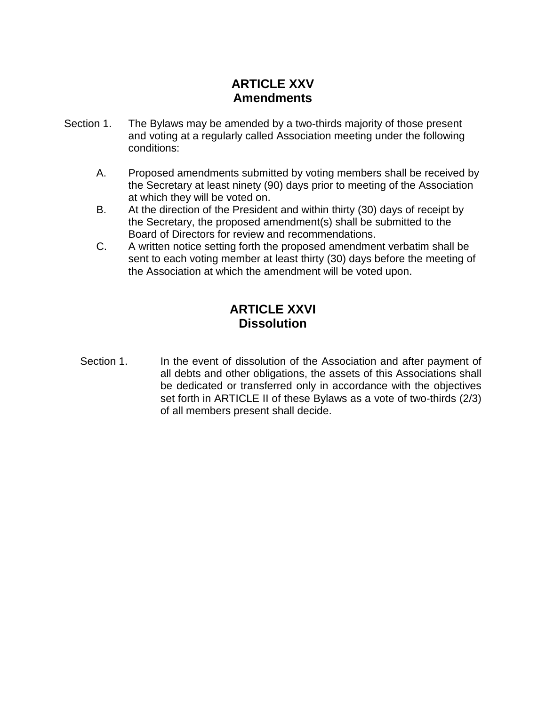# **ARTICLE XXV Amendments**

- Section 1. The Bylaws may be amended by a two-thirds majority of those present and voting at a regularly called Association meeting under the following conditions:
	- A. Proposed amendments submitted by voting members shall be received by the Secretary at least ninety (90) days prior to meeting of the Association at which they will be voted on.
	- B. At the direction of the President and within thirty (30) days of receipt by the Secretary, the proposed amendment(s) shall be submitted to the Board of Directors for review and recommendations.
	- C. A written notice setting forth the proposed amendment verbatim shall be sent to each voting member at least thirty (30) days before the meeting of the Association at which the amendment will be voted upon.

# **ARTICLE XXVI Dissolution**

Section 1. In the event of dissolution of the Association and after payment of all debts and other obligations, the assets of this Associations shall be dedicated or transferred only in accordance with the objectives set forth in ARTICLE II of these Bylaws as a vote of two-thirds (2/3) of all members present shall decide.